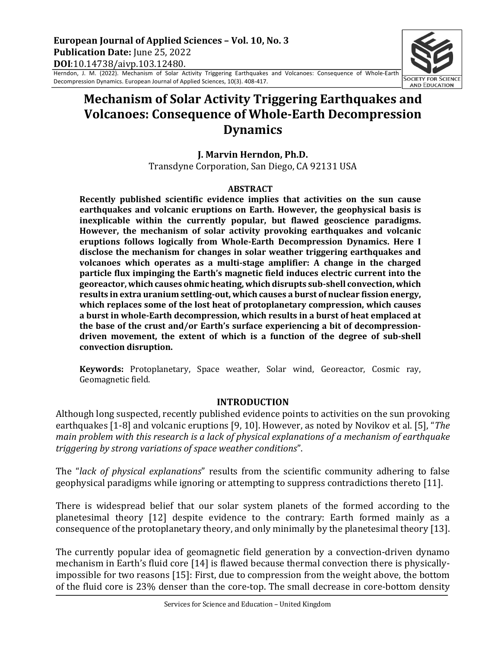Herndon, J. M. (2022). Mechanism of Solar Activity Triggering Earthquakes and Volcanoes: Consequence of Whole-Earth Decompression Dynamics. European Journal of Applied Sciences, 10(3). 408-417.

# **Mechanism of Solar Activity Triggering Earthquakes and Volcanoes: Consequence of Whole-Earth Decompression Dynamics**

**J. Marvin Herndon, Ph.D.** Transdyne Corporation, San Diego, CA 92131 USA

#### **ABSTRACT**

**Recently published scientific evidence implies that activities on the sun cause earthquakes and volcanic eruptions on Earth. However, the geophysical basis is** inexplicable within the currently popular, but flawed geoscience paradigms. However, the mechanism of solar activity provoking earthquakes and volcanic eruptions follows logically from Whole-Earth Decompression Dynamics. Here I disclose the mechanism for changes in solar weather triggering earthquakes and volcanoes which operates as a multi-stage amplifier: A change in the charged **particle flux impinging the Earth's magnetic field induces electric current into the** georeactor, which causes ohmic heating, which disrupts sub-shell convection, which results in extra uranium settling-out, which causes a burst of nuclear fission energy, which replaces some of the lost heat of protoplanetary compression, which causes a burst in whole-Earth decompression, which results in a burst of heat emplaced at the base of the crust and/or Earth's surface experiencing a bit of decompressiondriven movement, the extent of which is a function of the degree of sub-shell **convection disruption.**

**Keywords:** Protoplanetary, Space weather, Solar wind, Georeactor, Cosmic ray, Geomagnetic field.

### **INTRODUCTION**

Although long suspected, recently published evidence points to activities on the sun provoking earthquakes [1-8] and volcanic eruptions [9, 10]. However, as noted by Novikov et al. [5], "The *main problem with this research is a lack of physical explanations of a mechanism of earthquake triggering by strong variations of space weather conditions".* 

The "*lack of physical explanations*" results from the scientific community adhering to false geophysical paradigms while ignoring or attempting to suppress contradictions thereto [11].

There is widespread belief that our solar system planets of the formed according to the planetesimal theory [12] despite evidence to the contrary: Earth formed mainly as a consequence of the protoplanetary theory, and only minimally by the planetesimal theory [13].

The currently popular idea of geomagnetic field generation by a convection-driven dynamo mechanism in Earth's fluid core [14] is flawed because thermal convection there is physicallyimpossible for two reasons [15]: First, due to compression from the weight above, the bottom of the fluid core is 23% denser than the core-top. The small decrease in core-bottom density

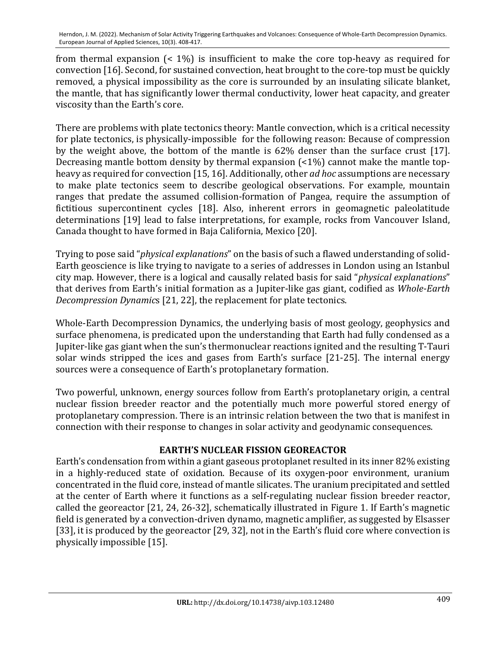from thermal expansion  $\left($  < 1%) is insufficient to make the core top-heavy as required for convection [16]. Second, for sustained convection, heat brought to the core-top must be quickly removed, a physical impossibility as the core is surrounded by an insulating silicate blanket, the mantle, that has significantly lower thermal conductivity, lower heat capacity, and greater viscosity than the Earth's core.

There are problems with plate tectonics theory: Mantle convection, which is a critical necessity for plate tectonics, is physically-impossible for the following reason: Because of compression by the weight above, the bottom of the mantle is 62% denser than the surface crust [17]. Decreasing mantle bottom density by thermal expansion  $($ <1%) cannot make the mantle topheavy as required for convection [15, 16]. Additionally, other *ad hoc* assumptions are necessary to make plate tectonics seem to describe geological observations. For example, mountain ranges that predate the assumed collision-formation of Pangea, require the assumption of fictitious supercontinent cycles [18]. Also, inherent errors in geomagnetic paleolatitude determinations [19] lead to false interpretations, for example, rocks from Vancouver Island, Canada thought to have formed in Baja California, Mexico [20].

Trying to pose said "physical explanations" on the basis of such a flawed understanding of solid-Earth geoscience is like trying to navigate to a series of addresses in London using an Istanbul city map. However, there is a logical and causally related basis for said "*physical explanations*" that derives from Earth's initial formation as a Jupiter-like gas giant, codified as *Whole-Earth Decompression Dynamics* [21, 22], the replacement for plate tectonics.

Whole-Earth Decompression Dynamics, the underlying basis of most geology, geophysics and surface phenomena, is predicated upon the understanding that Earth had fully condensed as a Jupiter-like gas giant when the sun's thermonuclear reactions ignited and the resulting T-Tauri solar winds stripped the ices and gases from Earth's surface [21-25]. The internal energy sources were a consequence of Earth's protoplanetary formation.

Two powerful, unknown, energy sources follow from Earth's protoplanetary origin, a central nuclear fission breeder reactor and the potentially much more powerful stored energy of protoplanetary compression. There is an intrinsic relation between the two that is manifest in connection with their response to changes in solar activity and geodynamic consequences.

# **EARTH'S NUCLEAR FISSION GEOREACTOR**

Earth's condensation from within a giant gaseous protoplanet resulted in its inner 82% existing in a highly-reduced state of oxidation. Because of its oxygen-poor environment, uranium concentrated in the fluid core, instead of mantle silicates. The uranium precipitated and settled at the center of Earth where it functions as a self-regulating nuclear fission breeder reactor, called the georeactor [21, 24, 26-32], schematically illustrated in Figure 1. If Earth's magnetic field is generated by a convection-driven dynamo, magnetic amplifier, as suggested by Elsasser [33], it is produced by the georeactor [29, 32], not in the Earth's fluid core where convection is physically impossible [15].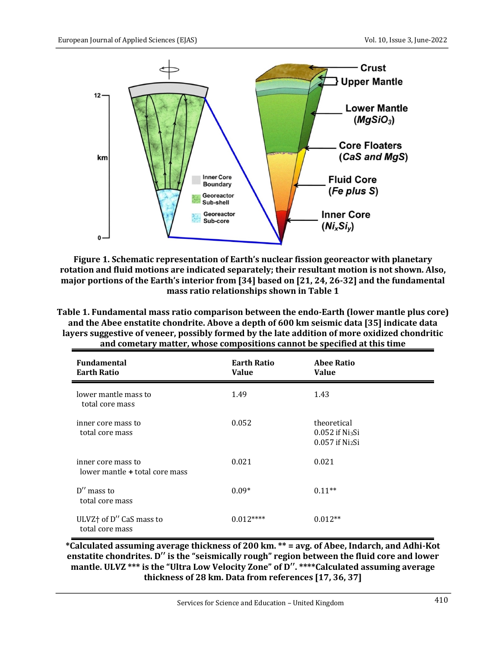

**Figure 1. Schematic representation of Earth's nuclear fission georeactor with planetary** rotation and fluid motions are indicated separately; their resultant motion is not shown. Also, major portions of the Earth's interior from [34] based on [21, 24, 26-32] and the fundamental mass ratio relationships shown in Table 1

| Table 1. Fundamental mass ratio comparison between the endo-Earth (lower mantle plus core)    |
|-----------------------------------------------------------------------------------------------|
| and the Abee enstatite chondrite. Above a depth of 600 km seismic data [35] indicate data     |
| layers suggestive of veneer, possibly formed by the late addition of more oxidized chondritic |
| and cometary matter, whose compositions cannot be specified at this time                      |

| <b>Fundamental</b><br><b>Earth Ratio</b>               | <b>Earth Ratio</b><br><b>Value</b> | <b>Abee Ratio</b><br><b>Value</b>                                     |
|--------------------------------------------------------|------------------------------------|-----------------------------------------------------------------------|
| lower mantle mass to<br>total core mass                | 1.49                               | 1.43                                                                  |
| inner core mass to<br>total core mass                  | 0.052                              | theoretical<br>$0.052$ if Ni $_3$ Si<br>$0.057$ if Ni <sub>2</sub> Si |
| inner core mass to<br>lower mantle + total core mass   | 0.021                              | 0.021                                                                 |
| $D''$ mass to<br>total core mass                       | $0.09*$                            | $0.11**$                                                              |
| ULVZ <sup>+</sup> of D" CaS mass to<br>total core mass | $0.012***$                         | $0.012**$                                                             |

**\*Calculated assuming average thickness of 200 km. \*\* = avg. of Abee, Indarch, and Adhi-Kot** enstatite chondrites. D'' is the "seismically rough" region between the fluid core and lower mantle. ULVZ \*\*\* is the "Ultra Low Velocity Zone" of D". \*\*\*\*Calculated assuming average thickness of 28 km. Data from references [17, 36, 37]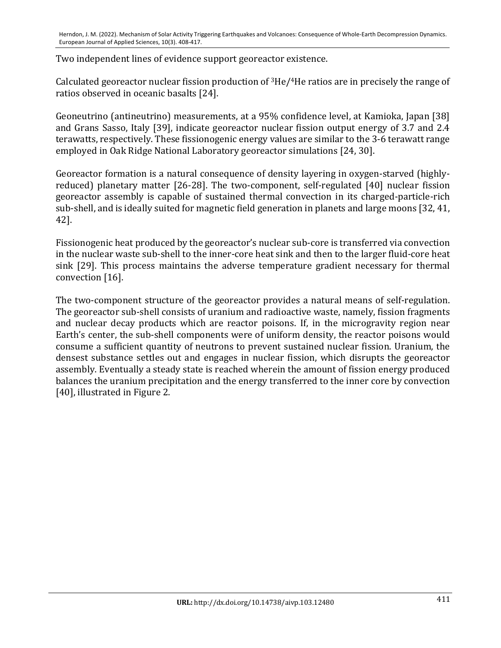Two independent lines of evidence support georeactor existence.

Calculated georeactor nuclear fission production of  $3He/4He$  ratios are in precisely the range of ratios observed in oceanic basalts [24].

Geoneutrino (antineutrino) measurements, at a 95% confidence level, at Kamioka, Japan [38] and Grans Sasso, Italy [39], indicate georeactor nuclear fission output energy of 3.7 and 2.4 terawatts, respectively. These fissionogenic energy values are similar to the 3-6 terawatt range employed in Oak Ridge National Laboratory georeactor simulations [24, 30].

Georeactor formation is a natural consequence of density layering in oxygen-starved (highlyreduced) planetary matter [26-28]. The two-component, self-regulated [40] nuclear fission georeactor assembly is capable of sustained thermal convection in its charged-particle-rich sub-shell, and is ideally suited for magnetic field generation in planets and large moons [32, 41, 42].

Fissionogenic heat produced by the georeactor's nuclear sub-core is transferred via convection in the nuclear waste sub-shell to the inner-core heat sink and then to the larger fluid-core heat sink [29]. This process maintains the adverse temperature gradient necessary for thermal convection [16].

The two-component structure of the georeactor provides a natural means of self-regulation. The georeactor sub-shell consists of uranium and radioactive waste, namely, fission fragments and nuclear decay products which are reactor poisons. If, in the microgravity region near Earth's center, the sub-shell components were of uniform density, the reactor poisons would consume a sufficient quantity of neutrons to prevent sustained nuclear fission. Uranium, the densest substance settles out and engages in nuclear fission, which disrupts the georeactor assembly. Eventually a steady state is reached wherein the amount of fission energy produced balances the uranium precipitation and the energy transferred to the inner core by convection [40], illustrated in Figure 2.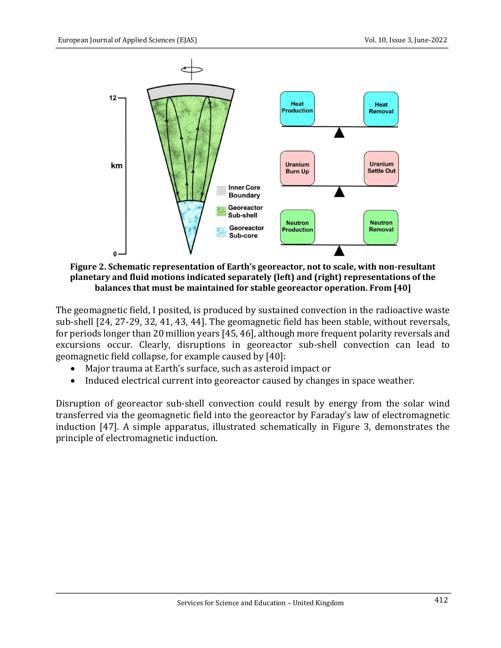

Figure 2. Schematic representation of Earth's georeactor, not to scale, with non-resultant planetary and fluid motions indicated separately (left) and (right) representations of the **balances that must be maintained for stable georeactor operation. From [40]** 

The geomagnetic field, I posited, is produced by sustained convection in the radioactive waste sub-shell [24, 27-29, 32, 41, 43, 44]. The geomagnetic field has been stable, without reversals, for periods longer than 20 million years  $[45, 46]$ , although more frequent polarity reversals and excursions occur. Clearly, disruptions in georeactor sub-shell convection can lead to geomagnetic field collapse, for example caused by [40]:

- Major trauma at Earth's surface, such as asteroid impact or
- Induced electrical current into georeactor caused by changes in space weather.

Disruption of georeactor sub-shell convection could result by energy from the solar wind transferred via the geomagnetic field into the georeactor by Faraday's law of electromagnetic induction [47]. A simple apparatus, illustrated schematically in Figure 3, demonstrates the principle of electromagnetic induction.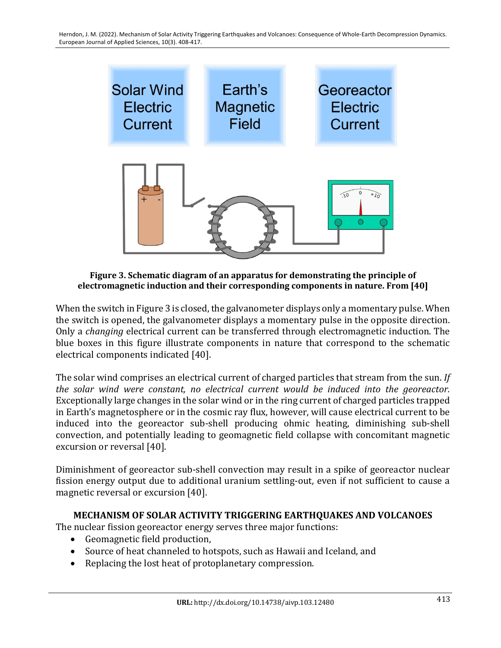

Figure 3. Schematic diagram of an apparatus for demonstrating the principle of **electromagnetic induction and their corresponding components in nature. From [40]** 

When the switch in Figure 3 is closed, the galvanometer displays only a momentary pulse. When the switch is opened, the galvanometer displays a momentary pulse in the opposite direction. Only a *changing* electrical current can be transferred through electromagnetic induction. The blue boxes in this figure illustrate components in nature that correspond to the schematic electrical components indicated [40].

The solar wind comprises an electrical current of charged particles that stream from the sun. If *the solar wind were constant, no electrical current would be induced into the georeactor.* Exceptionally large changes in the solar wind or in the ring current of charged particles trapped in Earth's magnetosphere or in the cosmic ray flux, however, will cause electrical current to be induced into the georeactor sub-shell producing ohmic heating, diminishing sub-shell convection, and potentially leading to geomagnetic field collapse with concomitant magnetic excursion or reversal [40].

Diminishment of georeactor sub-shell convection may result in a spike of georeactor nuclear fission energy output due to additional uranium settling-out, even if not sufficient to cause a magnetic reversal or excursion [40].

## **MECHANISM OF SOLAR ACTIVITY TRIGGERING EARTHQUAKES AND VOLCANOES**

The nuclear fission georeactor energy serves three major functions:

- Geomagnetic field production,
- Source of heat channeled to hotspots, such as Hawaii and Iceland, and
- Replacing the lost heat of protoplanetary compression.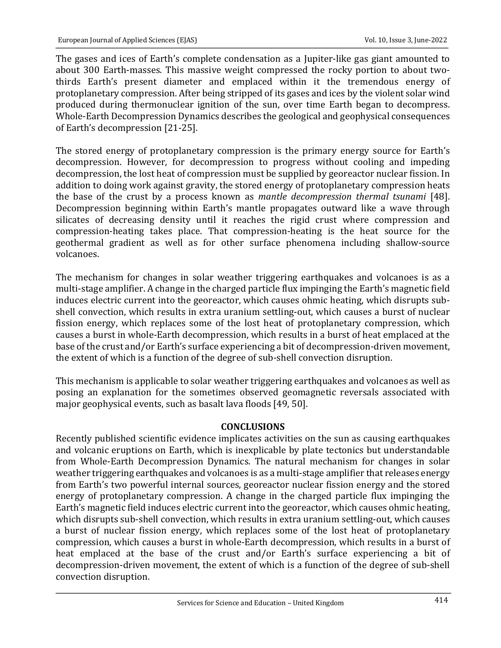The gases and ices of Earth's complete condensation as a Jupiter-like gas giant amounted to about 300 Earth-masses. This massive weight compressed the rocky portion to about twothirds Earth's present diameter and emplaced within it the tremendous energy of protoplanetary compression. After being stripped of its gases and ices by the violent solar wind produced during thermonuclear ignition of the sun, over time Earth began to decompress. Whole-Earth Decompression Dynamics describes the geological and geophysical consequences of Earth's decompression [21-25].

The stored energy of protoplanetary compression is the primary energy source for Earth's decompression. However, for decompression to progress without cooling and impeding decompression, the lost heat of compression must be supplied by georeactor nuclear fission. In addition to doing work against gravity, the stored energy of protoplanetary compression heats the base of the crust by a process known as *mantle decompression thermal tsunami* [48]. Decompression beginning within Earth's mantle propagates outward like a wave through silicates of decreasing density until it reaches the rigid crust where compression and compression-heating takes place. That compression-heating is the heat source for the geothermal gradient as well as for other surface phenomena including shallow-source volcanoes.

The mechanism for changes in solar weather triggering earthquakes and volcanoes is as a multi-stage amplifier. A change in the charged particle flux impinging the Earth's magnetic field induces electric current into the georeactor, which causes ohmic heating, which disrupts subshell convection, which results in extra uranium settling-out, which causes a burst of nuclear fission energy, which replaces some of the lost heat of protoplanetary compression, which causes a burst in whole-Earth decompression, which results in a burst of heat emplaced at the base of the crust and/or Earth's surface experiencing a bit of decompression-driven movement, the extent of which is a function of the degree of sub-shell convection disruption.

This mechanism is applicable to solar weather triggering earthquakes and volcanoes as well as posing an explanation for the sometimes observed geomagnetic reversals associated with major geophysical events, such as basalt lava floods [49, 50].

#### **CONCLUSIONS**

Recently published scientific evidence implicates activities on the sun as causing earthquakes and volcanic eruptions on Earth, which is inexplicable by plate tectonics but understandable from Whole-Earth Decompression Dynamics. The natural mechanism for changes in solar weather triggering earthquakes and volcanoes is as a multi-stage amplifier that releases energy from Earth's two powerful internal sources, georeactor nuclear fission energy and the stored energy of protoplanetary compression. A change in the charged particle flux impinging the Earth's magnetic field induces electric current into the georeactor, which causes ohmic heating, which disrupts sub-shell convection, which results in extra uranium settling-out, which causes a burst of nuclear fission energy, which replaces some of the lost heat of protoplanetary compression, which causes a burst in whole-Earth decompression, which results in a burst of heat emplaced at the base of the crust and/or Earth's surface experiencing a bit of decompression-driven movement, the extent of which is a function of the degree of sub-shell convection disruption.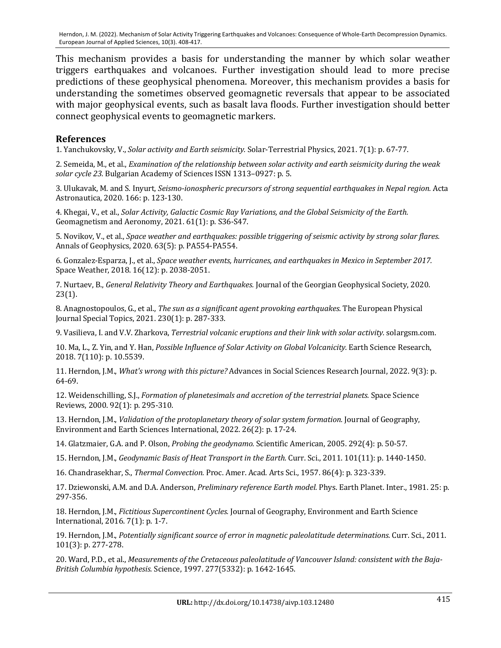This mechanism provides a basis for understanding the manner by which solar weather triggers earthquakes and volcanoes. Further investigation should lead to more precise predictions of these geophysical phenomena. Moreover, this mechanism provides a basis for understanding the sometimes observed geomagnetic reversals that appear to be associated with major geophysical events, such as basalt lava floods. Further investigation should better connect geophysical events to geomagnetic markers.

### **References**

1. Yanchukovsky, V., *Solar activity and Earth seismicity*. Solar-Terrestrial Physics, 2021. 7(1): p. 67-77.

2. Semeida, M., et al., *Examination of the relationship between solar activity and earth seismicity during the weak* solar cycle 23. Bulgarian Academy of Sciences ISSN 1313-0927: p. 5.

3. Ulukavak, M. and S. Inyurt, *Seismo-ionospheric precursors of strong sequential earthquakes in Nepal region.* Acta Astronautica, 2020. 166: p. 123-130.

4. Khegai, V., et al., *Solar Activity, Galactic Cosmic Ray Variations, and the Global Seismicity of the Earth.* Geomagnetism and Aeronomy, 2021. 61(1): p. S36-S47.

5. Novikov, V., et al., *Space weather and earthquakes: possible triggering of seismic activity by strong solar flares.* Annals of Geophysics, 2020. 63(5): p. PA554-PA554.

6. Gonzalez-Esparza, J., et al., *Space weather events, hurricanes, and earthquakes in Mexico in September 2017.* Space Weather, 2018. 16(12): p. 2038-2051.

7. Nurtaev, B., *General Relativity Theory and Earthquakes*. Journal of the Georgian Geophysical Society, 2020. 23(1).

8. Anagnostopoulos, G., et al., *The sun as a significant agent provoking earthquakes*. The European Physical Journal Special Topics, 2021. 230(1): p. 287-333.

9. Vasilieva, I. and V.V. Zharkova, *Terrestrial volcanic eruptions and their link with solar activity.* solargsm.com.

10. Ma, L., Z. Yin, and Y. Han, *Possible Influence of Solar Activity on Global Volcanicity*. Earth Science Research, 2018. 7(110): p. 10.5539.

11. Herndon, J.M., *What's wrong with this picture?* Advances in Social Sciences Research Journal, 2022. 9(3): p. 64-69.

12. Weidenschilling, S.J., *Formation of planetesimals and accretion of the terrestrial planets.* Space Science Reviews, 2000. 92(1): p. 295-310.

13. Herndon, J.M., *Validation of the protoplanetary theory of solar system formation.* Journal of Geography, Environment and Earth Sciences International, 2022. 26(2): p. 17-24.

14. Glatzmaier, G.A. and P. Olson, *Probing the geodynamo.* Scientific American, 2005. 292(4): p. 50-57.

15. Herndon, J.M., *Geodynamic Basis of Heat Transport in the Earth.* Curr. Sci., 2011. 101(11): p. 1440-1450.

16. Chandrasekhar, S., Thermal Convection. Proc. Amer. Acad. Arts Sci., 1957. 86(4): p. 323-339.

17. Dziewonski, A.M. and D.A. Anderson, *Preliminary reference Earth model*. Phys. Earth Planet. Inter., 1981. 25: p. 297-356.

18. Herndon, J.M., *Fictitious Supercontinent Cycles.* Journal of Geography, Environment and Earth Science International, 2016. 7(1): p. 1-7.

19. Herndon, J.M., Potentially significant source of error in magnetic paleolatitude determinations. Curr. Sci., 2011. 101(3): p. 277-278.

20. Ward, P.D., et al., *Measurements of the Cretaceous paleolatitude of Vancouver Island: consistent with the Baja-British Columbia hypothesis.* Science, 1997. 277(5332): p. 1642-1645.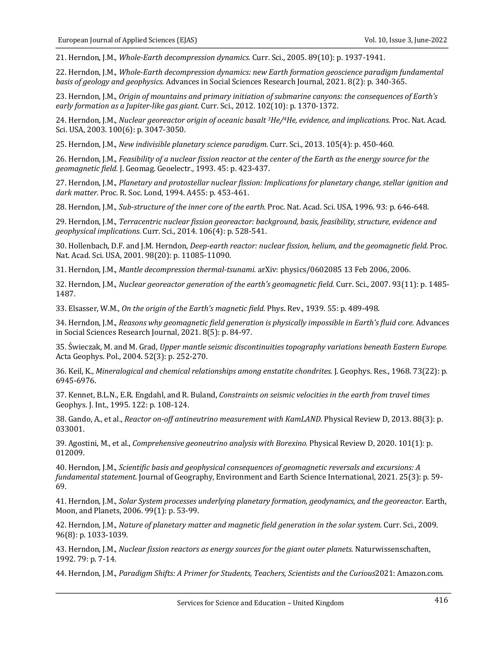21. Herndon, J.M., *Whole-Earth decompression dynamics.* Curr. Sci., 2005. 89(10): p. 1937-1941.

22. Herndon, J.M., Whole-Earth decompression dynamics: new Earth formation geoscience paradigm fundamental *basis of geology and geophysics.* Advances in Social Sciences Research Journal, 2021. 8(2): p. 340-365.

23. Herndon, J.M., *Origin of mountains and primary initiation of submarine canyons: the consequences of Earth's early formation as a Jupiter-like gas giant.* Curr. Sci., 2012. 102(10): p. 1370-1372.

24. Herndon, J.M., *Nuclear georeactor origin of oceanic basalt* <sup>3</sup>He/<sup>4</sup>He, evidence, and *implications.* Proc. Nat. Acad. Sci. USA, 2003. 100(6): p. 3047-3050.

25. Herndon, J.M., *New indivisible planetary science paradigm*. Curr. Sci., 2013. 105(4): p. 450-460.

26. Herndon, J.M., *Feasibility of a nuclear fission reactor at the center of the Earth as the energy source for the* geomagnetic field. J. Geomag. Geoelectr., 1993. 45: p. 423-437.

27. Herndon, J.M., *Planetary and protostellar nuclear fission: Implications for planetary change, stellar ignition and* dark matter. Proc. R. Soc. Lond, 1994. A455: p. 453-461.

28. Herndon, J.M., Sub-structure of the inner core of the earth. Proc. Nat. Acad. Sci. USA, 1996. 93: p. 646-648.

29. Herndon, J.M., *Terracentric nuclear fission georeactor: background, basis, feasibility, structure, evidence and geophysical implications.* Curr. Sci., 2014. 106(4): p. 528-541.

30. Hollenbach, D.F. and J.M. Herndon, *Deep-earth reactor: nuclear fission, helium, and the geomagnetic field.* Proc. Nat. Acad. Sci. USA, 2001. 98(20): p. 11085-11090.

31. Herndon, J.M., *Mantle decompression thermal-tsunami.* arXiv: physics/0602085 13 Feb 2006, 2006.

32. Herndon, J.M., *Nuclear georeactor generation of the earth's geomagnetic field.* Curr. Sci., 2007. 93(11): p. 1485-1487.

33. Elsasser, W.M., On the origin of the Earth's magnetic field. Phys. Rev., 1939. 55: p. 489-498.

34. Herndon, J.M., Reasons why geomagnetic field generation is physically impossible in Earth's fluid core. Advances in Social Sciences Research Journal, 2021. 8(5): p. 84-97.

35. Świeczak, M. and M. Grad, *Upper mantle seismic discontinuities topography variations beneath Eastern Europe.* Acta Geophys. Pol., 2004. 52(3): p. 252-270.

36. Keil, K., *Mineralogical and chemical relationships among enstatite chondrites.* J. Geophys. Res., 1968. 73(22): p. 6945-6976.

37. Kennet, B.L.N., E.R. Engdahl, and R. Buland, *Constraints on seismic velocities in the earth from travel times* Geophys. J. Int., 1995. 122: p. 108-124.

38. Gando, A., et al., *Reactor on-off antineutrino measurement with KamLAND*. Physical Review D, 2013. 88(3): p. 033001.

39. Agostini, M., et al., *Comprehensive geoneutrino analysis with Borexino.* Physical Review D, 2020. 101(1): p. 012009.

40. Herndon, J.M., *Scientific basis and geophysical consequences of geomagnetic reversals and excursions: A fundamental statement.* Journal of Geography, Environment and Earth Science International, 2021. 25(3): p. 59-69.

41. Herndon, J.M., *Solar System processes underlying planetary formation, geodynamics, and the georeactor.* Earth, Moon, and Planets, 2006. 99(1): p. 53-99.

42. Herndon, J.M., *Nature of planetary matter and magnetic field generation in the solar system.* Curr. Sci., 2009. 96(8): p. 1033-1039.

43. Herndon, J.M., *Nuclear fission reactors as energy sources for the giant outer planets*. Naturwissenschaften, 1992. 79: p. 7-14.

44. Herndon, J.M., *Paradigm Shifts: A Primer for Students, Teachers, Scientists and the Curious*2021: Amazon.com.